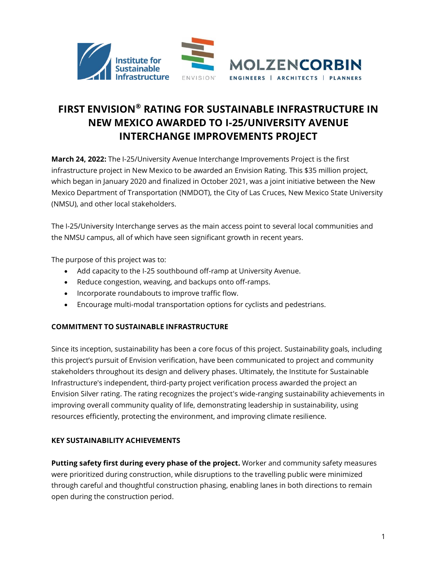

# **FIRST ENVISION® RATING FOR SUSTAINABLE INFRASTRUCTURE IN NEW MEXICO AWARDED TO I-25/UNIVERSITY AVENUE INTERCHANGE IMPROVEMENTS PROJECT**

**March 24, 2022:** The I-25/University Avenue Interchange Improvements Project is the first infrastructure project in New Mexico to be awarded an Envision Rating. This \$35 million project, which began in January 2020 and finalized in October 2021, was a joint initiative between the New Mexico Department of Transportation (NMDOT), the City of Las Cruces, New Mexico State University (NMSU), and other local stakeholders.

The I-25/University Interchange serves as the main access point to several local communities and the NMSU campus, all of which have seen significant growth in recent years.

The purpose of this project was to:

- Add capacity to the I-25 southbound off-ramp at University Avenue.
- Reduce congestion, weaving, and backups onto off-ramps.
- Incorporate roundabouts to improve traffic flow.
- Encourage multi-modal transportation options for cyclists and pedestrians.

## **COMMITMENT TO SUSTAINABLE INFRASTRUCTURE**

Since its inception, sustainability has been a core focus of this project. Sustainability goals, including this project's pursuit of Envision verification, have been communicated to project and community stakeholders throughout its design and delivery phases. Ultimately, the Institute for Sustainable Infrastructure's independent, third-party project verification process awarded the project an Envision Silver rating. The rating recognizes the project's wide-ranging sustainability achievements in improving overall community quality of life, demonstrating leadership in sustainability, using resources efficiently, protecting the environment, and improving climate resilience.

### **KEY SUSTAINABILITY ACHIEVEMENTS**

**Putting safety first during every phase of the project.** Worker and community safety measures were prioritized during construction, while disruptions to the travelling public were minimized through careful and thoughtful construction phasing, enabling lanes in both directions to remain open during the construction period.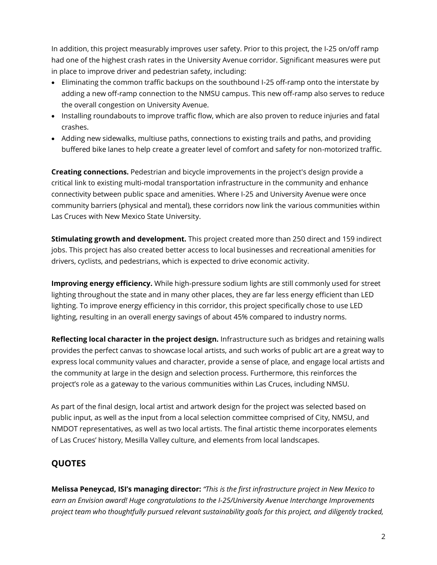In addition, this project measurably improves user safety. Prior to this project, the I-25 on/off ramp had one of the highest crash rates in the University Avenue corridor. Significant measures were put in place to improve driver and pedestrian safety, including:

- Eliminating the common traffic backups on the southbound I-25 off-ramp onto the interstate by adding a new off-ramp connection to the NMSU campus. This new off-ramp also serves to reduce the overall congestion on University Avenue.
- Installing roundabouts to improve traffic flow, which are also proven to reduce injuries and fatal crashes.
- Adding new sidewalks, multiuse paths, connections to existing trails and paths, and providing buffered bike lanes to help create a greater level of comfort and safety for non-motorized traffic.

**Creating connections.** Pedestrian and bicycle improvements in the project's design provide a critical link to existing multi-modal transportation infrastructure in the community and enhance connectivity between public space and amenities. Where I-25 and University Avenue were once community barriers (physical and mental), these corridors now link the various communities within Las Cruces with New Mexico State University.

**Stimulating growth and development.** This project created more than 250 direct and 159 indirect jobs. This project has also created better access to local businesses and recreational amenities for drivers, cyclists, and pedestrians, which is expected to drive economic activity.

**Improving energy efficiency.** While high-pressure sodium lights are still commonly used for street lighting throughout the state and in many other places, they are far less energy efficient than LED lighting. To improve energy efficiency in this corridor, this project specifically chose to use LED lighting, resulting in an overall energy savings of about 45% compared to industry norms.

**Reflecting local character in the project design.** Infrastructure such as bridges and retaining walls provides the perfect canvas to showcase local artists, and such works of public art are a great way to express local community values and character, provide a sense of place, and engage local artists and the community at large in the design and selection process. Furthermore, this reinforces the project's role as a gateway to the various communities within Las Cruces, including NMSU.

As part of the final design, local artist and artwork design for the project was selected based on public input, as well as the input from a local selection committee comprised of City, NMSU, and NMDOT representatives, as well as two local artists. The final artistic theme incorporates elements of Las Cruces' history, Mesilla Valley culture, and elements from local landscapes.

# **QUOTES**

**Melissa Peneycad, ISI's managing director:** *"This is the first infrastructure project in New Mexico to earn an Envision award! Huge congratulations to the I-25/University Avenue Interchange Improvements project team who thoughtfully pursued relevant sustainability goals for this project, and diligently tracked,*